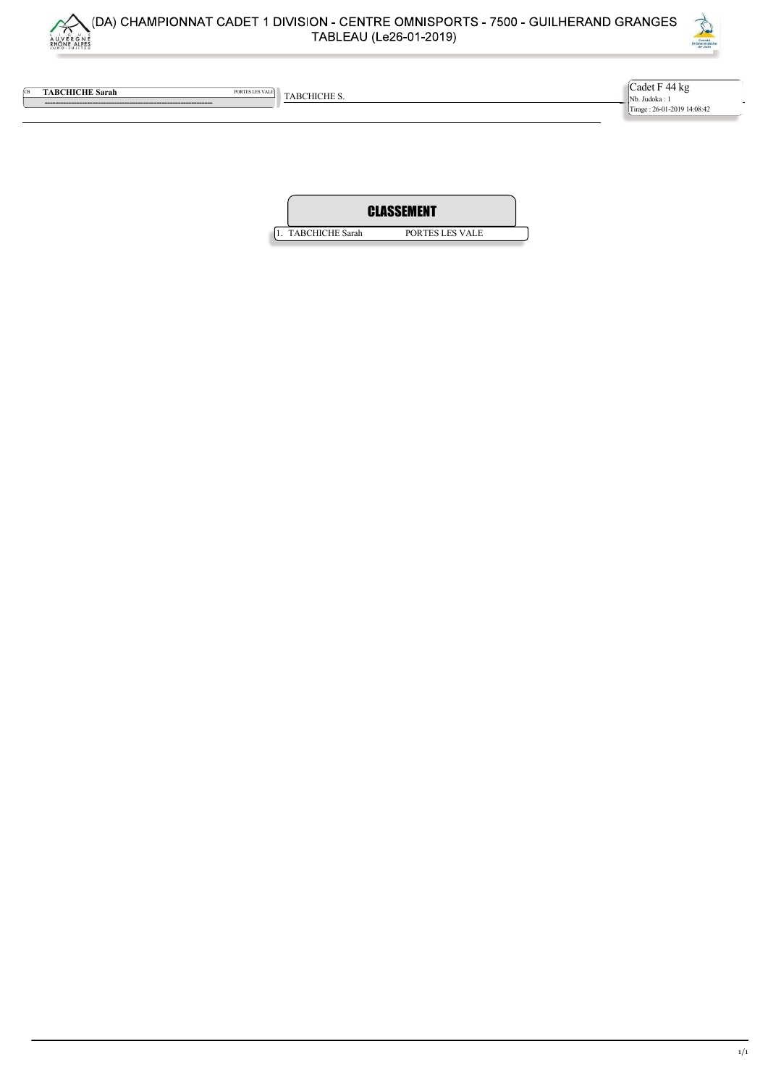



**CB** TABCHICHE Sarah PORTES LES VALE TABCHICHE S.

 --------------------------------------------------------------- Cadet F 44 kg Nb. Judoka : 1 Tirage : 26-01-2019 14:08:42

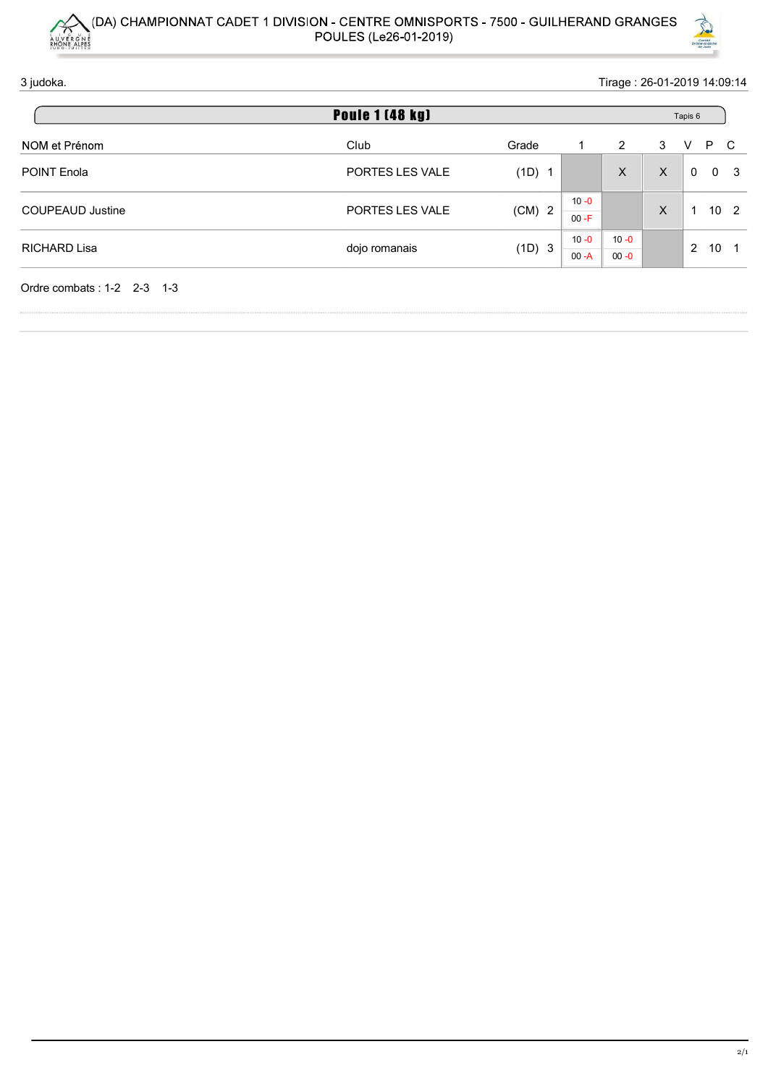



| $\sim$                     | (DA) CHAMPIONNAT CADET 1 DIVISION - CENTRE OMNISPORTS - 7500 - GUILHERAND GRANGES<br>POULES (Le26-01-2019) |          |                      |                      |              |                             |
|----------------------------|------------------------------------------------------------------------------------------------------------|----------|----------------------|----------------------|--------------|-----------------------------|
|                            |                                                                                                            |          |                      |                      |              |                             |
|                            |                                                                                                            |          |                      |                      |              |                             |
|                            |                                                                                                            |          |                      |                      |              |                             |
|                            |                                                                                                            |          |                      |                      |              |                             |
|                            |                                                                                                            |          |                      |                      |              |                             |
|                            |                                                                                                            |          |                      |                      |              |                             |
| AUVERGNE                   |                                                                                                            |          |                      |                      |              | Comité<br>Comité de Judo    |
| 3 judoka.                  |                                                                                                            |          |                      |                      |              | Tirage: 26-01-2019 14:09:14 |
|                            | <b>Poule 1 (48 kg)</b>                                                                                     |          |                      |                      |              | Tapis 6                     |
| NOM et Prénom              | Club                                                                                                       | Grade    | -1                   | $\overline{2}$       | $\mathbf{3}$ | P C<br>$\vee$               |
| POINT Enola                | PORTES LES VALE                                                                                            | (1D) 1   |                      | $\boldsymbol{X}$     | $\mathsf{X}$ | $0\quad 0$                  |
| <b>COUPEAUD Justine</b>    | PORTES LES VALE                                                                                            | $(CM)$ 2 | $10 - 0$<br>$00 - F$ |                      | $\mathsf X$  | $1 \quad 10 \quad 2$        |
| RICHARD Lisa               | dojo romanais                                                                                              | (1D) 3   | $10 - 0$<br>$00 - A$ | $10 - 0$<br>$00 - 0$ |              | $2 \quad 10 \quad 1$        |
|                            |                                                                                                            |          |                      |                      |              |                             |
| Ordre combats: 1-2 2-3 1-3 |                                                                                                            |          |                      |                      |              |                             |
|                            |                                                                                                            |          |                      |                      |              |                             |
|                            |                                                                                                            |          |                      |                      |              |                             |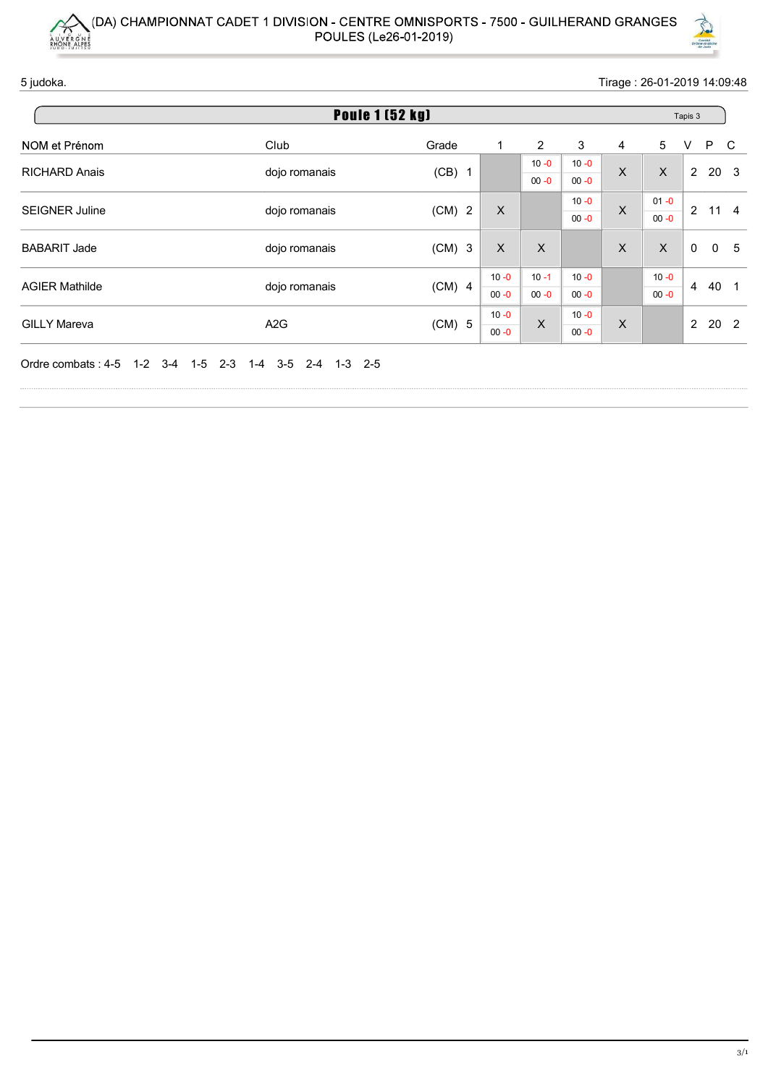



|                       | (DA) CHAMPIONNAT CADET 1 DIVISION - CENTRE OMNISPORTS - 7500 - GUILHERAND GRANGES |                       |                           |                      |                      |                  |                      |                                                     |  |  |
|-----------------------|-----------------------------------------------------------------------------------|-----------------------|---------------------------|----------------------|----------------------|------------------|----------------------|-----------------------------------------------------|--|--|
|                       |                                                                                   |                       |                           |                      |                      |                  |                      |                                                     |  |  |
|                       |                                                                                   |                       |                           |                      |                      |                  |                      |                                                     |  |  |
|                       |                                                                                   |                       |                           |                      |                      |                  |                      |                                                     |  |  |
|                       |                                                                                   |                       |                           |                      |                      |                  |                      |                                                     |  |  |
|                       |                                                                                   |                       |                           |                      |                      |                  |                      |                                                     |  |  |
| AUVERGNE              |                                                                                   | POULES (Le26-01-2019) |                           |                      |                      |                  |                      | Comité<br>Drôme-Ardéche                             |  |  |
| 5 judoka.             | Tirage: 26-01-2019 14:09:48                                                       |                       |                           |                      |                      |                  |                      |                                                     |  |  |
|                       | <b>Poule 1 (52 kg)</b>                                                            |                       |                           |                      |                      |                  |                      | Tapis 3                                             |  |  |
| NOM et Prénom         | Club                                                                              | Grade                 | $\overline{1}$            | $\overline{2}$       | $\mathbf{3}$         | 4                | $\sqrt{5}$           | P<br>$\mathsf{C}$<br>V                              |  |  |
| RICHARD Anais         | dojo romanais                                                                     | $(CB)$ 1              |                           | $10 - 0$<br>$00 - 0$ | $10 - 0$<br>$00 - 0$ | $\boldsymbol{X}$ | $\mathsf{X}$         | 2 20 3                                              |  |  |
| SEIGNER Juline        | dojo romanais                                                                     | $(CM)$ 2              | $\boldsymbol{\mathsf{X}}$ |                      | $10 - 0$<br>$00 - 0$ | $\boldsymbol{X}$ | $01 - 0$<br>$00 - 0$ | 2 11 4                                              |  |  |
|                       |                                                                                   |                       | $\boldsymbol{\mathsf{X}}$ | $\mathsf{X}$         |                      | $\mathsf{X}$     | $\mathsf{X}$         | $\overline{0}$<br>$\overline{0}$<br>$5\phantom{.0}$ |  |  |
| <b>BABARIT Jade</b>   | dojo romanais                                                                     | $(CM)$ 3              |                           |                      |                      |                  | $10 - 0$             | 4 40 1                                              |  |  |
| <b>AGIER Mathilde</b> | dojo romanais                                                                     | $(CM)$ 4              | $10 - 0$<br>$00 - 0$      | $10 - 1$<br>$00 - 0$ | $10 - 0$<br>$00 - 0$ |                  | $00 - 0$             |                                                     |  |  |
| <b>GILLY Mareva</b>   | A <sub>2</sub> G                                                                  | (CM) 5                | $10 - 0$<br>$00 - 0$      | $\parallel$ X        | $10 - 0$<br>$00 - 0$ | X                |                      | $2 \quad 20 \quad 2$                                |  |  |
|                       | Ordre combats: 4-5 1-2 3-4 1-5 2-3 1-4 3-5 2-4 1-3 2-5                            |                       |                           |                      |                      |                  |                      |                                                     |  |  |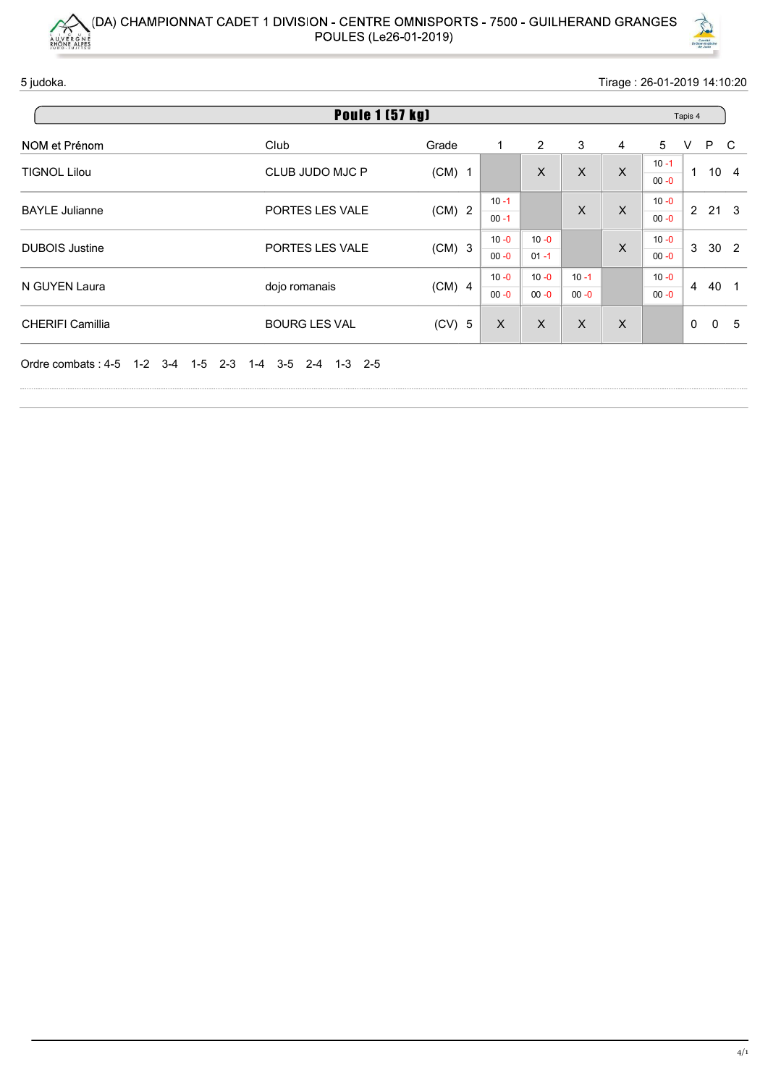



|                       | (DA) CHAMPIONNAT CADET 1 DIVISION - CENTRE OMNISPORTS - 7500 - GUILHERAND GRANGES |                                                                       |                      |                      |                           |                  |                      |                             |
|-----------------------|-----------------------------------------------------------------------------------|-----------------------------------------------------------------------|----------------------|----------------------|---------------------------|------------------|----------------------|-----------------------------|
|                       |                                                                                   |                                                                       |                      |                      |                           |                  |                      |                             |
|                       |                                                                                   |                                                                       |                      |                      |                           |                  |                      |                             |
|                       |                                                                                   |                                                                       |                      |                      |                           |                  |                      |                             |
|                       |                                                                                   |                                                                       |                      |                      |                           |                  |                      |                             |
|                       |                                                                                   |                                                                       |                      |                      |                           |                  |                      |                             |
| AUVERGNE              | POULES (Le26-01-2019)                                                             |                                                                       |                      |                      |                           |                  |                      | Comité<br>Drôme-Ardéche     |
| 5 judoka.             |                                                                                   |                                                                       |                      |                      |                           |                  |                      | Tirage: 26-01-2019 14:10:20 |
|                       | <b>Poule 1 (57 kg)</b>                                                            |                                                                       |                      |                      |                           |                  |                      | Tapis 4                     |
| NOM et Prénom         | Club                                                                              | Grade                                                                 | -1                   | $\overline{2}$       | $\ensuremath{\mathsf{3}}$ | $\overline{4}$   | $\overline{5}$       | P C<br>V                    |
| <b>TIGNOL Lilou</b>   | CLUB JUDO MJC P                                                                   | $(CM)$ 1                                                              |                      | $\mathsf X$          | $\mathsf X$               | $\boldsymbol{X}$ | $10 - 1$<br>$00 - 0$ | $1 10 4$                    |
| <b>BAYLE Julianne</b> | PORTES LES VALE                                                                   | $(CM)$ 2                                                              | $10 - 1$<br>$00 - 1$ |                      | $\mathsf X$               | $\boldsymbol{X}$ | $10 - 0$<br>$00 - 0$ | 2 21 3                      |
|                       |                                                                                   |                                                                       | $10 - 0$             | $10 - 0$<br>$01 - 1$ |                           | $\boldsymbol{X}$ | $10 - 0$<br>$00 - 0$ | 3 30 2                      |
| <b>DUBOIS Justine</b> | PORTES LES VALE                                                                   | $(CM)$ 3                                                              | $00 - 0$             |                      |                           |                  | $10 - 0$             | 4 40 1                      |
| N GUYEN Laura         | dojo romanais                                                                     | $(CM)$ 4                                                              | $10 - 0$<br>$00 - 0$ | $10 - 0$<br>$00 - 0$ | $10 - 1$<br>$00 - 0$      |                  | $00 - 0$             |                             |
| CHERIFI Camillia      | BOURG LES VAL                                                                     | $(CV)$ 5 $\begin{array}{ c c c c c }\n\hline\nX & X & X\n\end{array}$ |                      |                      |                           | $\mathsf{X}$     |                      | $0\quad 0\quad 5$           |
|                       | Ordre combats: 4-5 1-2 3-4 1-5 2-3 1-4 3-5 2-4 1-3 2-5                            |                                                                       |                      |                      |                           |                  |                      |                             |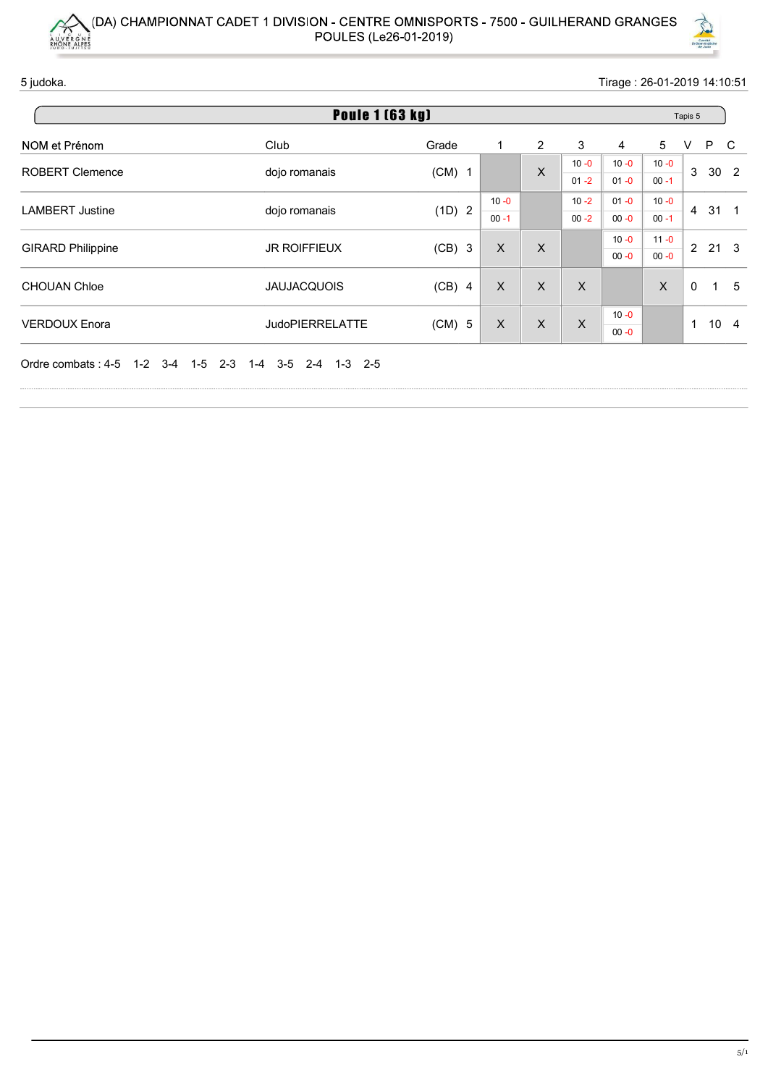



| AUVERGNE                 | (DA) CHAMPIONNAT CADET 1 DIVISION - CENTRE OMNISPORTS - 7500 - GUILHERAND GRANGES |                            |                           |                |                           |                             |                      |                         |                                   |  |  |  |  |  |  |
|--------------------------|-----------------------------------------------------------------------------------|----------------------------|---------------------------|----------------|---------------------------|-----------------------------|----------------------|-------------------------|-----------------------------------|--|--|--|--|--|--|
|                          |                                                                                   |                            |                           |                |                           |                             |                      |                         |                                   |  |  |  |  |  |  |
|                          |                                                                                   |                            |                           |                |                           |                             |                      |                         |                                   |  |  |  |  |  |  |
|                          |                                                                                   |                            |                           |                |                           |                             |                      |                         |                                   |  |  |  |  |  |  |
|                          |                                                                                   |                            |                           |                |                           |                             |                      |                         |                                   |  |  |  |  |  |  |
|                          | POULES (Le26-01-2019)                                                             |                            |                           |                |                           |                             |                      |                         |                                   |  |  |  |  |  |  |
|                          |                                                                                   |                            |                           |                |                           |                             |                      | Comité<br>Drôme-Ardéche |                                   |  |  |  |  |  |  |
| 5 judoka.                |                                                                                   |                            |                           |                |                           | Tirage: 26-01-2019 14:10:51 |                      |                         |                                   |  |  |  |  |  |  |
|                          | <b>Poule 1 (63 kg)</b>                                                            |                            |                           |                |                           |                             |                      | Tapis 5                 |                                   |  |  |  |  |  |  |
| NOM et Prénom            | Club                                                                              | Grade                      | -1                        | $\overline{2}$ | 3                         | $\overline{4}$              | $\sqrt{5}$           | $\vee$<br>P             | $\mathbf{C}$                      |  |  |  |  |  |  |
| ROBERT Clemence          | dojo romanais                                                                     | $(CM)$ 1                   |                           | $\mathsf X$    | $10 - 0$<br>$01 - 2$      | $10 - 0$<br>$01 - 0$        | $10 - 0$<br>$00 - 1$ | 3 30 2                  |                                   |  |  |  |  |  |  |
| <b>LAMBERT Justine</b>   | dojo romanais                                                                     | (1D) 2                     | $10 - 0$<br>$00 - 1$      |                | $10 - 2$<br>$00 - 2$      | $01 - 0$<br>$00 - 0$        | $10 - 0$<br>$00 - 1$ | 4 31 1                  |                                   |  |  |  |  |  |  |
|                          |                                                                                   |                            | $\boldsymbol{\mathsf{X}}$ | $\mathsf{X}$   |                           | $10 - 0$<br>$00 - 0$        | $11 - 0$<br>$00 - 0$ | 2 21 3                  |                                   |  |  |  |  |  |  |
| <b>GIRARD Philippine</b> | <b>JR ROIFFIEUX</b>                                                               | $(CB)$ 3                   |                           |                |                           |                             | $\mathsf X$          | $\overline{0}$          | $5\phantom{.0}$<br>$\overline{1}$ |  |  |  |  |  |  |
| CHOUAN Chloe             | <b>JAUJACQUOIS</b>                                                                | $(CB)$ 4                   | $\boldsymbol{\mathsf{X}}$ | $\mathsf{X}$   | $\boldsymbol{\mathsf{X}}$ |                             |                      |                         |                                   |  |  |  |  |  |  |
| <b>VERDOUX Enora</b>     | JudoPIERRELATTE                                                                   | (CM) 5 $\vert$ X $\vert$ X |                           |                | $\mathsf{X}$              | $10 - 0$<br>$00 - 0$        |                      | $1 10 4$                |                                   |  |  |  |  |  |  |
|                          | Ordre combats: 4-5 1-2 3-4 1-5 2-3 1-4 3-5 2-4 1-3 2-5                            |                            |                           |                |                           |                             |                      |                         |                                   |  |  |  |  |  |  |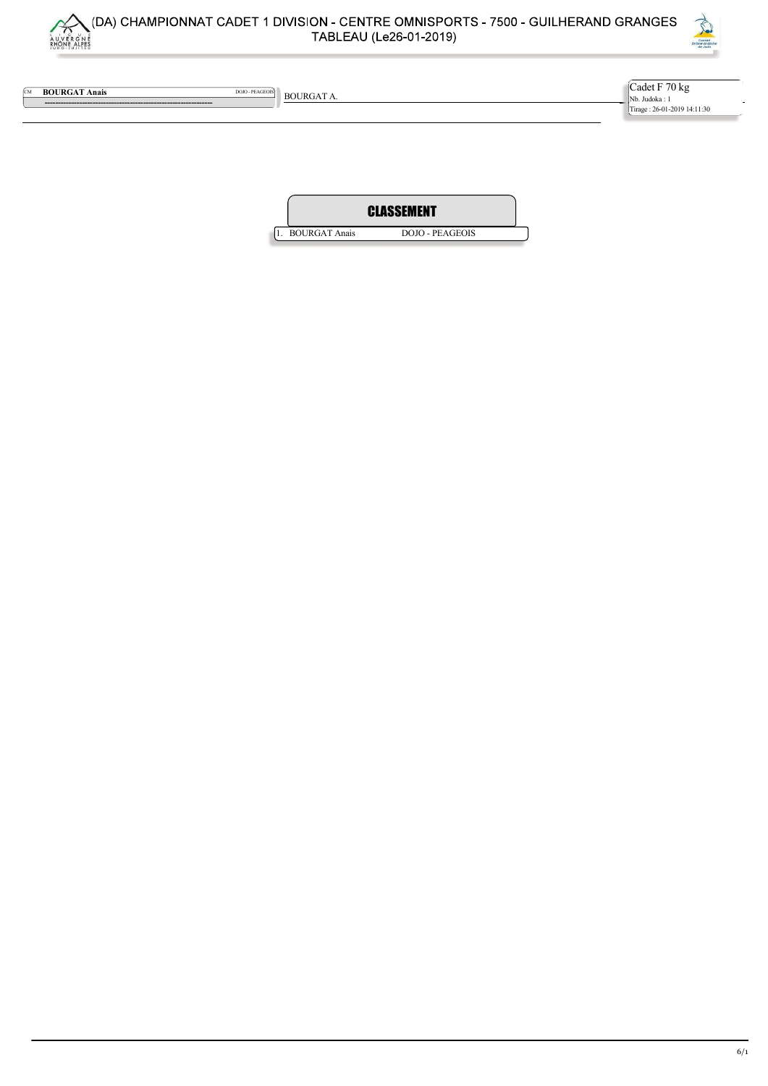



**EM BOURGAT Anais** DOIO - PEAGEOIS BOURGAT A.

 --------------------------------------------------------------- Cadet F 70 kg Nb. Judoka : 1 Tirage : 26-01-2019 14:11:30

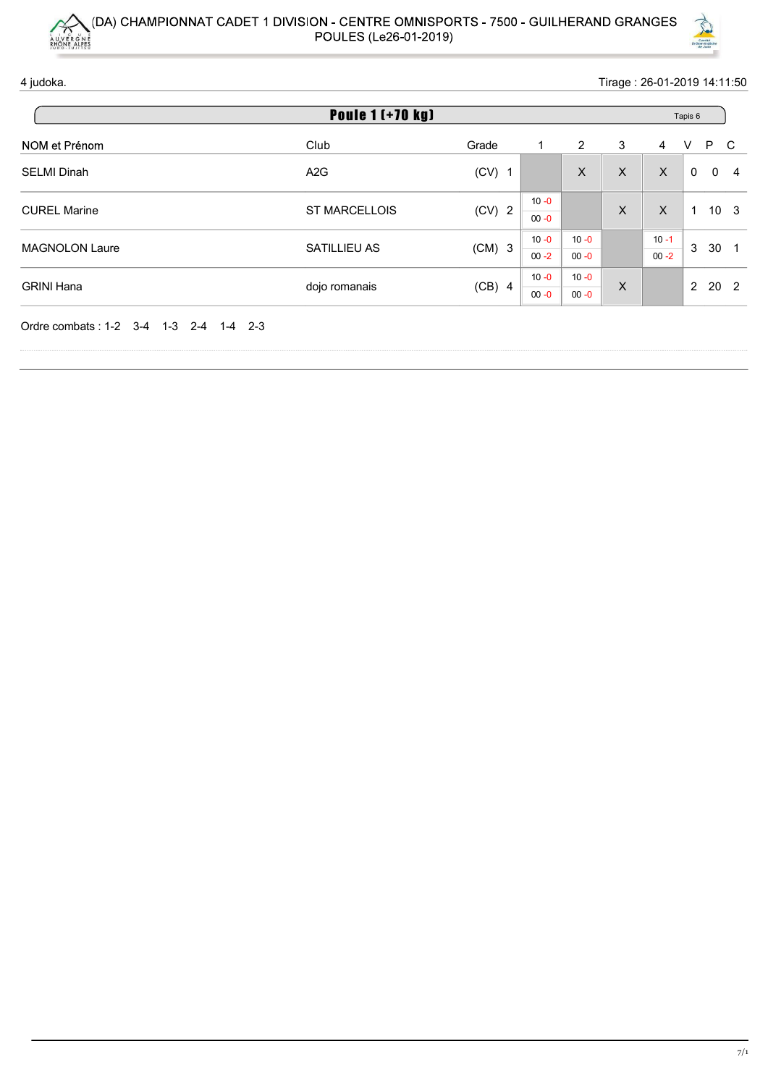



|                                        | (DA) CHAMPIONNAT CADET 1 DIVISION - CENTRE OMNISPORTS - 7500 - GUILHERAND GRANGES<br>POULES (Le26-01-2019) |          |                      |                      |                           |                      | Comité<br>Comité<br>Drôme-Ardéchu |  |  |  |
|----------------------------------------|------------------------------------------------------------------------------------------------------------|----------|----------------------|----------------------|---------------------------|----------------------|-----------------------------------|--|--|--|
| 4 judoka.                              |                                                                                                            |          |                      |                      |                           |                      | Tirage: 26-01-2019 14:11:50       |  |  |  |
| <b>Poule 1 (+70 kg)</b><br>Tapis 6     |                                                                                                            |          |                      |                      |                           |                      |                                   |  |  |  |
| NOM et Prénom                          | Club                                                                                                       | Grade    | $\mathbf{1}$         | $\overline{a}$       | $\sqrt{3}$                | $\overline{4}$       | $\vee$<br>P C                     |  |  |  |
|                                        |                                                                                                            |          |                      |                      |                           |                      |                                   |  |  |  |
| <b>SELMI Dinah</b>                     | A <sub>2</sub> G                                                                                           | $(CV)$ 1 |                      | $\mathsf{X}$         | $\mathsf{X}$              | $\mathsf X$          | $0\quad 0$<br>$\overline{4}$      |  |  |  |
| <b>CUREL Marine</b>                    | ST MARCELLOIS                                                                                              | $(CV)$ 2 | $10 - 0$<br>$00 - 0$ |                      | $\boldsymbol{\mathsf{X}}$ | $\mathsf X$          | $1 10 3$                          |  |  |  |
| MAGNOLON Laure                         | SATILLIEU AS                                                                                               | $(CM)$ 3 | $10 - 0$<br>$00 - 2$ | $10 - 0$<br>$00 - 0$ |                           | $10 - 1$<br>$00 - 2$ | 3 30 1                            |  |  |  |
| <b>GRINI Hana</b>                      | dojo romanais                                                                                              | $(CB)$ 4 | $10 - 0$<br>$00 - 0$ | $10 - 0$<br>$00 - 0$ | $\boldsymbol{\mathsf{X}}$ |                      | $2 \quad 20 \quad 2$              |  |  |  |
| Ordre combats: 1-2 3-4 1-3 2-4 1-4 2-3 |                                                                                                            |          |                      |                      |                           |                      |                                   |  |  |  |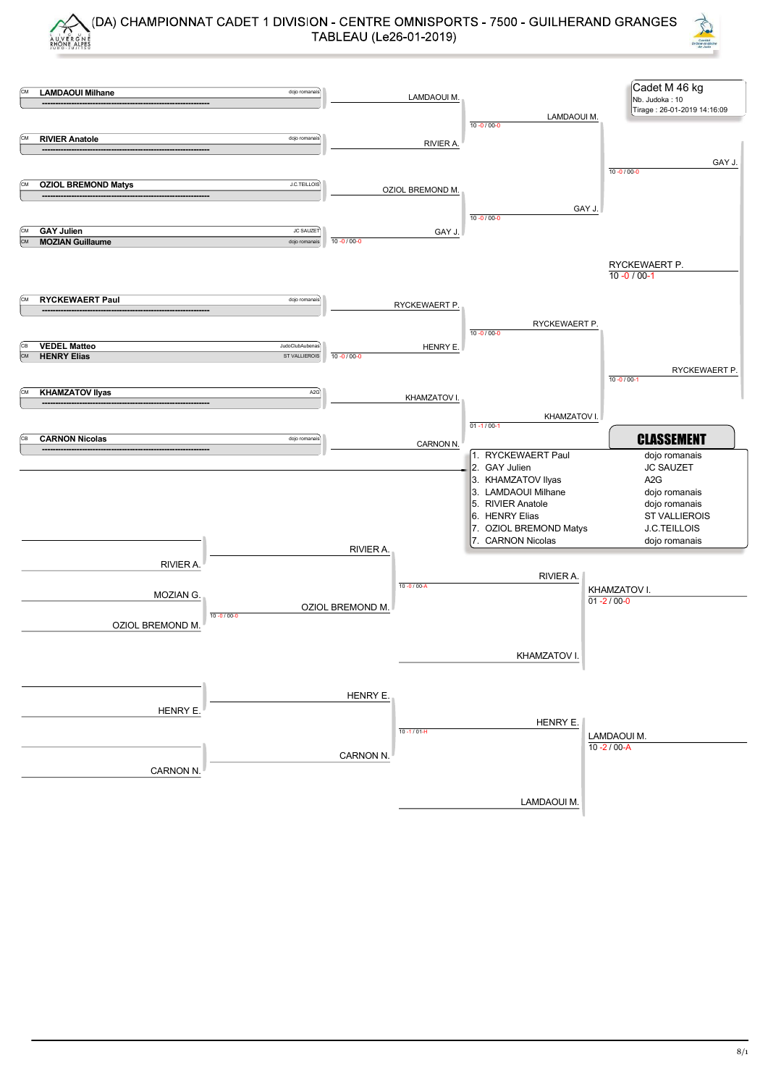



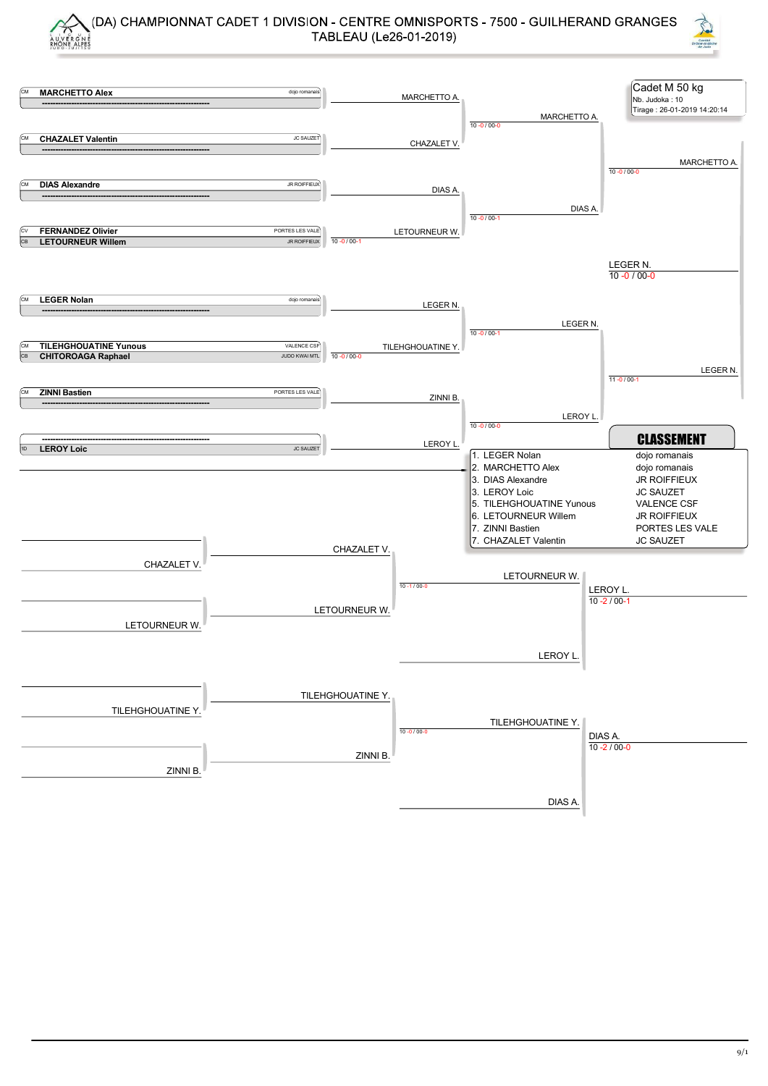



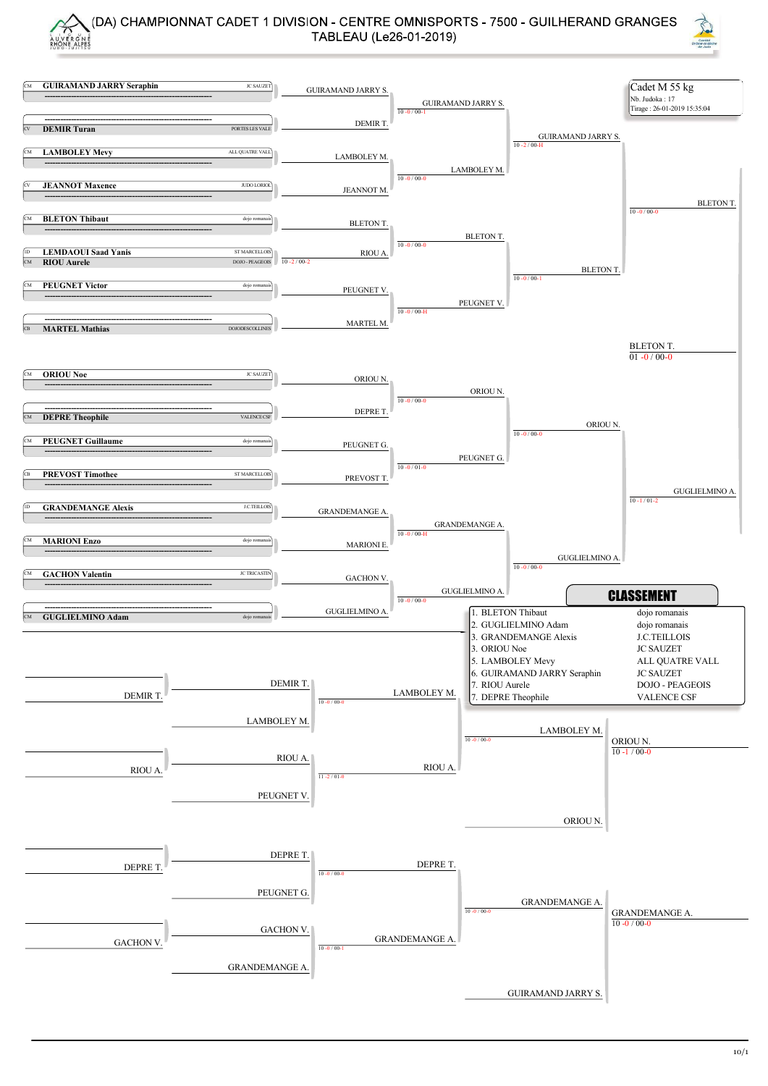

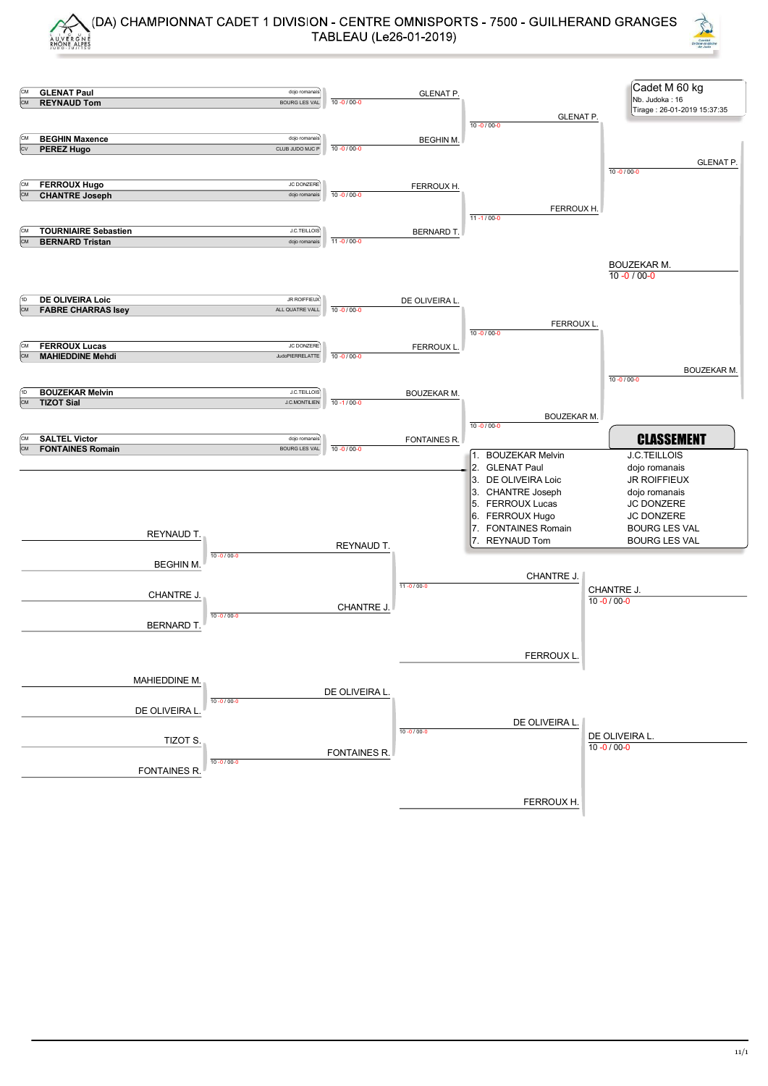



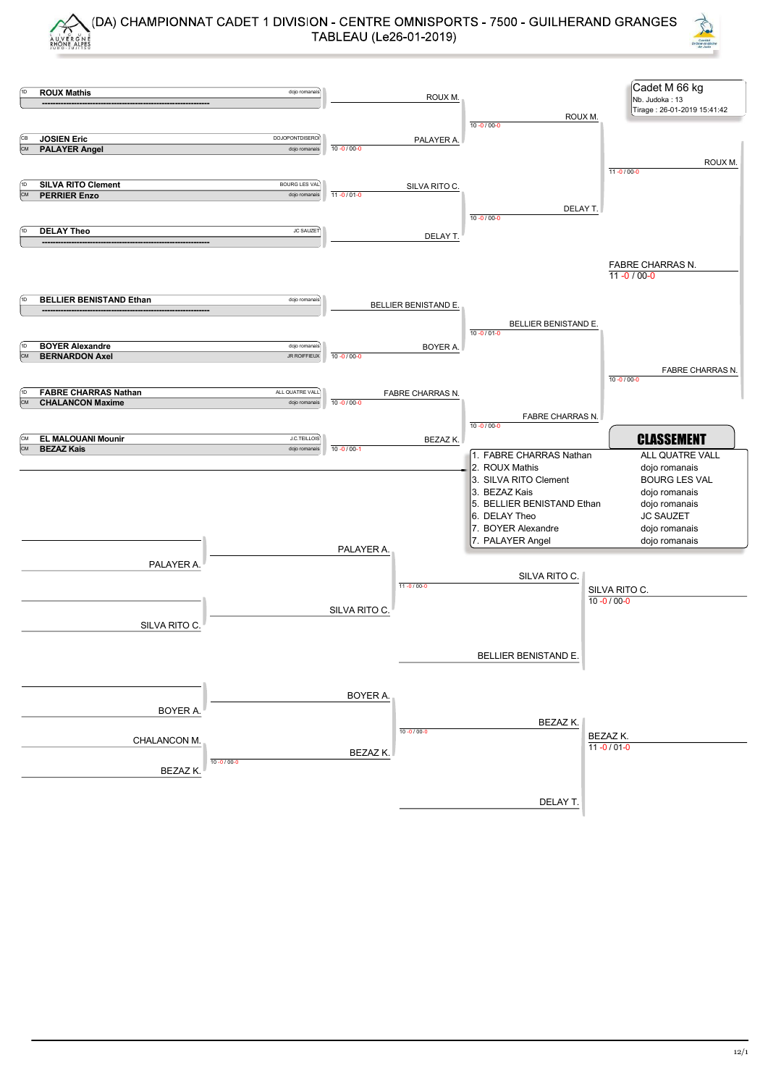



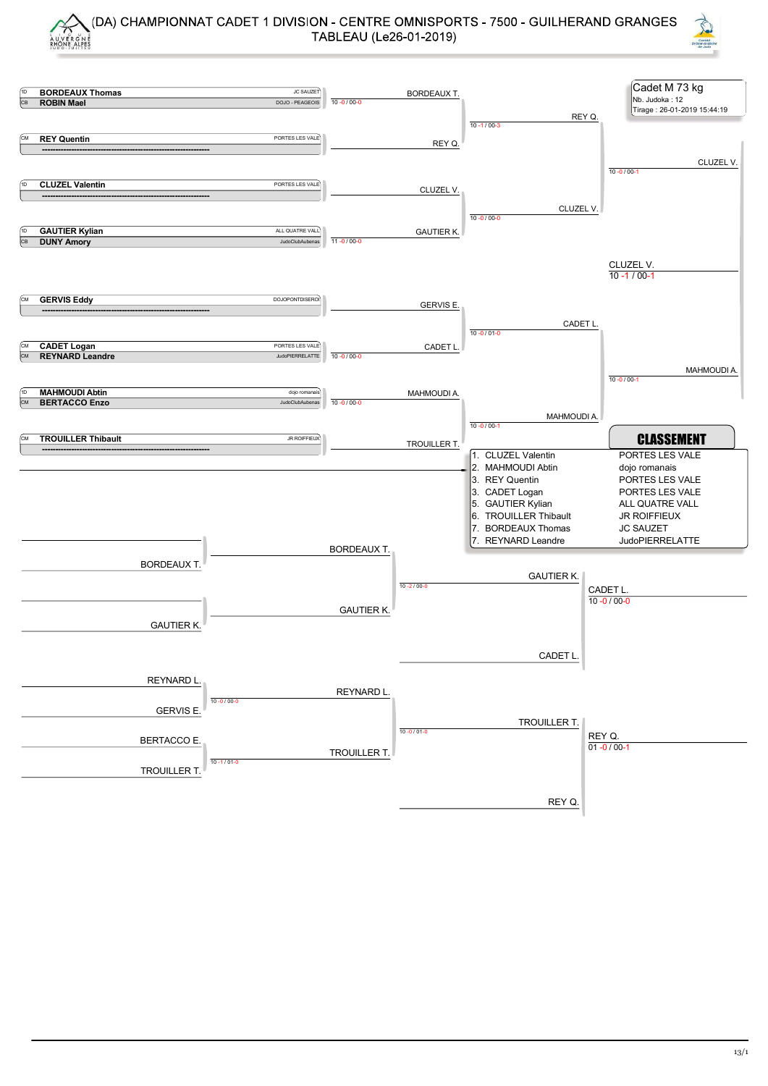



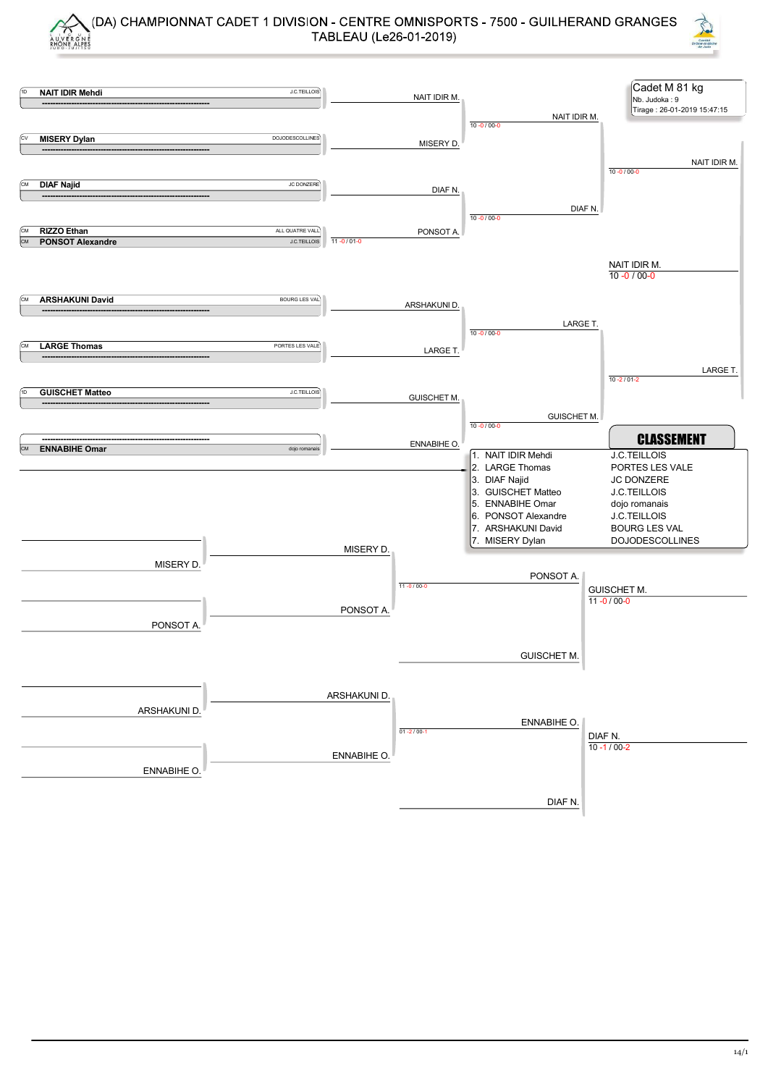



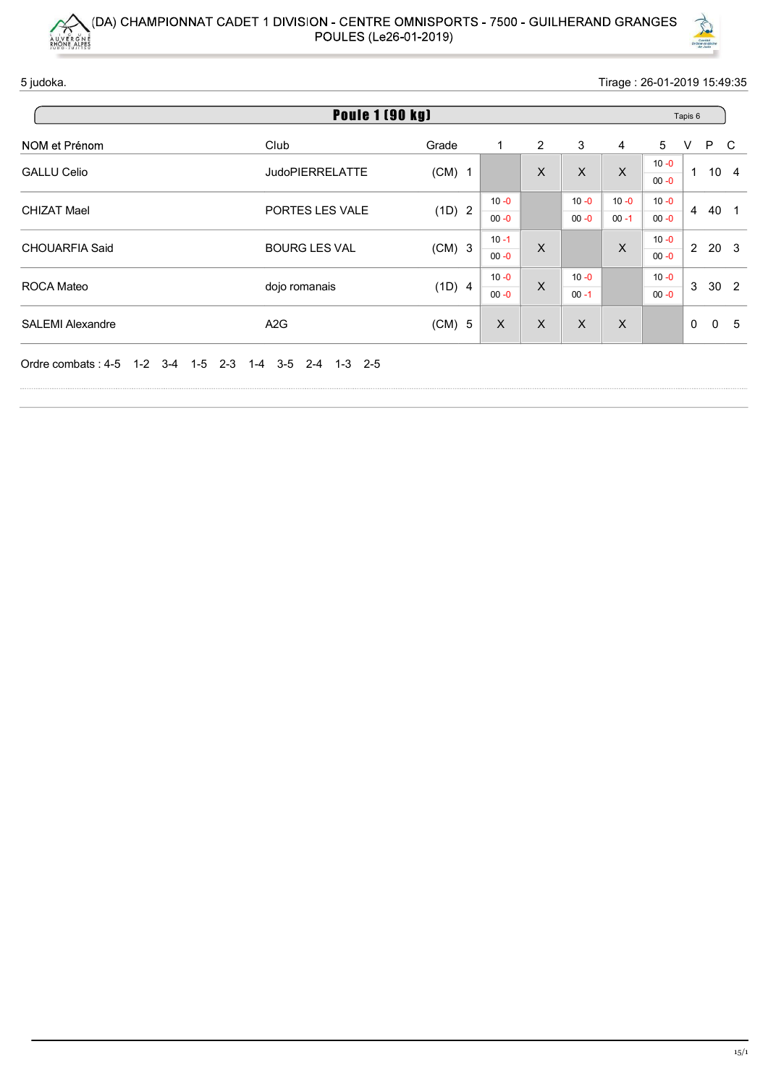



| AUVERGNE           | (DA) CHAMPIONNAT CADET 1 DIVISION - CENTRE OMNISPORTS - 7500 - GUILHERAND GRANGES |                                      |                      |                |                           |                           |                             |                         |  |
|--------------------|-----------------------------------------------------------------------------------|--------------------------------------|----------------------|----------------|---------------------------|---------------------------|-----------------------------|-------------------------|--|
|                    |                                                                                   |                                      |                      |                |                           |                           |                             |                         |  |
|                    |                                                                                   |                                      |                      |                |                           |                           |                             |                         |  |
|                    |                                                                                   |                                      |                      |                |                           |                           |                             |                         |  |
|                    |                                                                                   |                                      |                      |                |                           |                           |                             |                         |  |
|                    |                                                                                   |                                      |                      |                |                           |                           |                             |                         |  |
|                    | POULES (Le26-01-2019)                                                             |                                      |                      |                |                           |                           |                             | Comité<br>Drôme-Ardéche |  |
| 5 judoka.          |                                                                                   |                                      |                      |                |                           |                           | Tirage: 26-01-2019 15:49:35 |                         |  |
|                    | <b>Poule 1 (90 kg)</b>                                                            |                                      |                      |                |                           |                           |                             |                         |  |
| NOM et Prénom      | Club                                                                              | Grade                                | -1                   | $\overline{2}$ | $\ensuremath{\mathsf{3}}$ | 4                         | 5                           | P C<br>V                |  |
| <b>GALLU Celio</b> | <b>JudoPIERRELATTE</b>                                                            | $(CM)$ 1                             |                      | $\mathsf X$    | $\mathsf X$               | $\boldsymbol{X}$          | $10 - 0$<br>$00 - 0$        | $1 10 4$                |  |
| <b>CHIZAT Mael</b> | PORTES LES VALE                                                                   | (1D) 2                               | $10 - 0$<br>$00 - 0$ |                | $10 - 0$<br>$00 - 0$      | $10 - 0$<br>$00 - 1$      | $10 - 0$<br>$00 - 0$        | 4 40 1                  |  |
|                    |                                                                                   |                                      | $10 - 1$             | $\mathsf X$    |                           | $\boldsymbol{\mathsf{X}}$ | $10 - 0$<br>$00 - 0$        | 2 20 3                  |  |
| CHOUARFIA Said     | <b>BOURG LES VAL</b>                                                              | $(CM)$ 3                             | $00 - 0$             |                |                           |                           | $10 - 0$                    | 3 30 2                  |  |
| ROCA Mateo         | dojo romanais                                                                     | (1D) 4                               | $10 - 0$<br>$00 - 0$ | $\mathsf X$    | $10 - 0$<br>$00 - 1$      |                           | $00 - 0$                    |                         |  |
| SALEMI Alexandre   | A <sub>2</sub> G                                                                  | (CM) 5 $\vert$ X $\vert$ X $\vert$ X |                      |                |                           |                           |                             | $0\quad 0\quad 5$       |  |
|                    | Ordre combats: 4-5 1-2 3-4 1-5 2-3 1-4 3-5 2-4 1-3 2-5                            |                                      |                      |                |                           |                           |                             |                         |  |